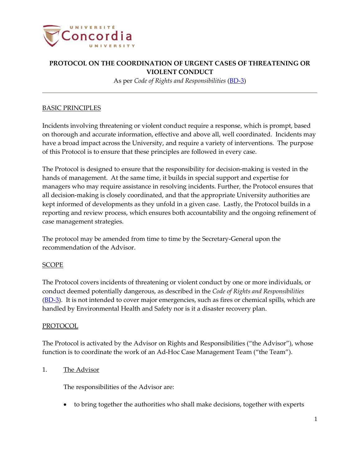

As per *Code of Rights and Responsibilities* [\(BD-3\)](http://www.concordia.ca/content/dam/common/docs/policies/official-policies/BD-3.pdf)

## BASIC PRINCIPLES

Incidents involving threatening or violent conduct require a response, which is prompt, based on thorough and accurate information, effective and above all, well coordinated. Incidents may have a broad impact across the University, and require a variety of interventions. The purpose of this Protocol is to ensure that these principles are followed in every case.

The Protocol is designed to ensure that the responsibility for decision-making is vested in the hands of management. At the same time, it builds in special support and expertise for managers who may require assistance in resolving incidents. Further, the Protocol ensures that all decision-making is closely coordinated, and that the appropriate University authorities are kept informed of developments as they unfold in a given case. Lastly, the Protocol builds in a reporting and review process, which ensures both accountability and the ongoing refinement of case management strategies.

The protocol may be amended from time to time by the Secretary-General upon the recommendation of the Advisor.

## SCOPE

The Protocol covers incidents of threatening or violent conduct by one or more individuals, or conduct deemed potentially dangerous, as described in the *Code of Rights and Responsibilities* [\(BD-3\)](http://www.concordia.ca/content/dam/common/docs/policies/official-policies/BD-3.pdf). It is not intended to cover major emergencies, such as fires or chemical spills, which are handled by Environmental Health and Safety nor is it a disaster recovery plan.

## PROTOCOL

The Protocol is activated by the Advisor on Rights and Responsibilities ("the Advisor"), whose function is to coordinate the work of an Ad-Hoc Case Management Team ("the Team").

## 1. The Advisor

The responsibilities of the Advisor are:

• to bring together the authorities who shall make decisions, together with experts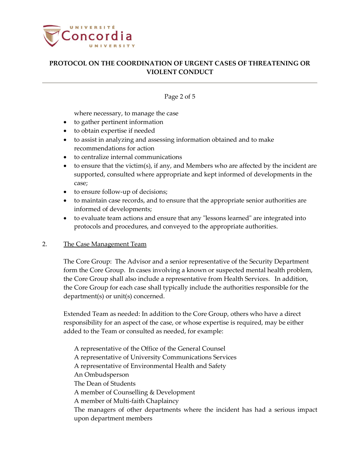

### Page 2 of 5

where necessary, to manage the case

- to gather pertinent information
- to obtain expertise if needed
- to assist in analyzing and assessing information obtained and to make recommendations for action
- to centralize internal communications
- to ensure that the victim(s), if any, and Members who are affected by the incident are supported, consulted where appropriate and kept informed of developments in the case;
- to ensure follow-up of decisions;
- to maintain case records, and to ensure that the appropriate senior authorities are informed of developments;
- to evaluate team actions and ensure that any "lessons learned" are integrated into protocols and procedures, and conveyed to the appropriate authorities.

#### 2. The Case Management Team

The Core Group: The Advisor and a senior representative of the Security Department form the Core Group. In cases involving a known or suspected mental health problem, the Core Group shall also include a representative from Health Services. In addition, the Core Group for each case shall typically include the authorities responsible for the department(s) or unit(s) concerned.

Extended Team as needed: In addition to the Core Group, others who have a direct responsibility for an aspect of the case, or whose expertise is required, may be either added to the Team or consulted as needed, for example:

A representative of the Office of the General Counsel A representative of University Communications Services A representative of Environmental Health and Safety An Ombudsperson The Dean of Students A member of Counselling & Development A member of Multi-faith Chaplaincy The managers of other departments where the incident has had a serious impact upon department members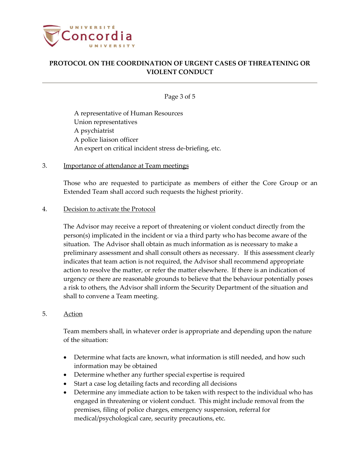

Page 3 of 5

A representative of Human Resources Union representatives A psychiatrist A police liaison officer An expert on critical incident stress de-briefing, etc.

# 3. **Importance of attendance at Team meetings**

Those who are requested to participate as members of either the Core Group or an Extended Team shall accord such requests the highest priority.

#### 4. Decision to activate the Protocol

The Advisor may receive a report of threatening or violent conduct directly from the person(s) implicated in the incident or via a third party who has become aware of the situation. The Advisor shall obtain as much information as is necessary to make a preliminary assessment and shall consult others as necessary. If this assessment clearly indicates that team action is not required, the Advisor shall recommend appropriate action to resolve the matter, or refer the matter elsewhere. If there is an indication of urgency or there are reasonable grounds to believe that the behaviour potentially poses a risk to others, the Advisor shall inform the Security Department of the situation and shall to convene a Team meeting.

## 5. Action

Team members shall, in whatever order is appropriate and depending upon the nature of the situation:

- Determine what facts are known, what information is still needed, and how such information may be obtained
- Determine whether any further special expertise is required
- Start a case log detailing facts and recording all decisions
- Determine any immediate action to be taken with respect to the individual who has engaged in threatening or violent conduct. This might include removal from the premises, filing of police charges, emergency suspension, referral for medical/psychological care, security precautions, etc.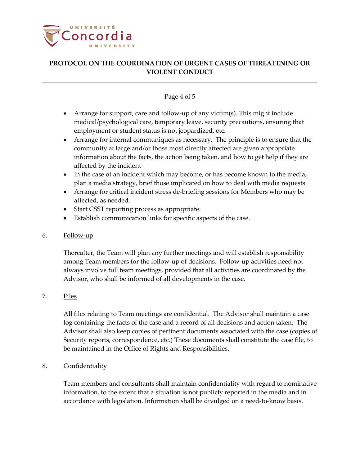

# Page 4 of 5

- Arrange for support, care and follow-up of any victim(s). This might include medical/psychological care, temporary leave, security precautions, ensuring that employment or student status is not jeopardized, etc.
- Arrange for internal communiqués as necessary. The principle is to ensure that the community at large and/or those most directly affected are given appropriate information about the facts, the action being taken, and how to get help if they are affected by the incident
- In the case of an incident which may become, or has become known to the media, plan a media strategy, brief those implicated on how to deal with media requests
- Arrange for critical incident stress de-briefing sessions for Members who may be affected, as needed.
- Start CSST reporting process as appropriate.
- Establish communication links for specific aspects of the case.

# 6. Follow-up

Thereafter, the Team will plan any further meetings and will establish responsibility among Team members for the follow-up of decisions. Follow-up activities need not always involve full team meetings, provided that all activities are coordinated by the Advisor, who shall be informed of all developments in the case.

## 7. Files

All files relating to Team meetings are confidential. The Advisor shall maintain a case log containing the facts of the case and a record of all decisions and action taken. The Advisor shall also keep copies of pertinent documents associated with the case (copies of Security reports, correspondence, etc.) These documents shall constitute the case file, to be maintained in the Office of Rights and Responsibilities.

# 8. Confidentiality

Team members and consultants shall maintain confidentiality with regard to nominative information, to the extent that a situation is not publicly reported in the media and in accordance with legislation. Information shall be divulged on a need-to-know basis.